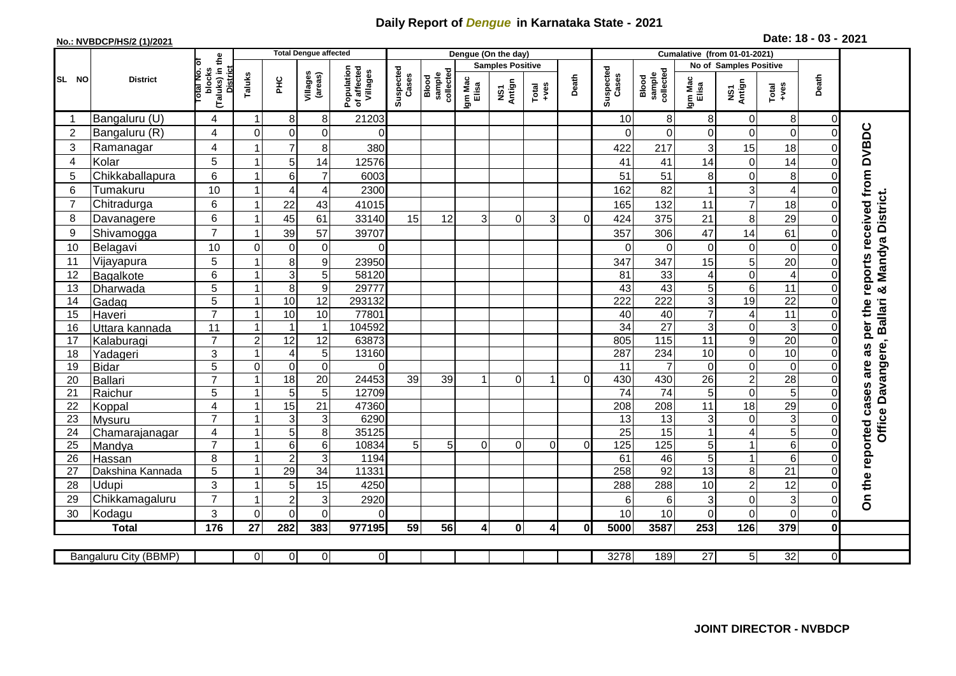## **Daily Report of** *Dengue* **in Karnataka State - 2021**

## **No.: NVBDCP/HS/2 (1)/2021**

**2021 Date: 18 - 03 -**

|                | <b>District</b>           |                                                 |                         |                                   | <b>Total Dengue affected</b> |                                       |                    |                              |                         | Dengue (On the day) |                |              |                    |                                     |                         |                                                                                        |                 |                |                                              |
|----------------|---------------------------|-------------------------------------------------|-------------------------|-----------------------------------|------------------------------|---------------------------------------|--------------------|------------------------------|-------------------------|---------------------|----------------|--------------|--------------------|-------------------------------------|-------------------------|----------------------------------------------------------------------------------------|-----------------|----------------|----------------------------------------------|
|                |                           | the<br>৳                                        |                         |                                   |                              |                                       |                    |                              | <b>Samples Positive</b> |                     |                |              |                    |                                     | No of Samples Positive  |                                                                                        |                 |                |                                              |
| SL NO          |                           | (Taluks) in t<br>District<br>otal No.<br>blocks | Taluks                  | 꾿                                 | Villages<br>(areas)          | Population<br>of affected<br>Villages | Suspected<br>Cases | collected<br>sample<br>Blood | Igm Mac<br>Elisa        | Antign<br>Σñ        | Total<br>+ves  | Death        | Suspected<br>Cases | collected<br><b>Blood</b><br>sample | Igm Mac<br>Elisa        | Death<br>NS1<br>Antign<br>$\begin{array}{c}\n\text{Total} \\ \text{Area}\n\end{array}$ |                 |                |                                              |
| -1             | Bangaluru (U)             | 4                                               | $\mathbf 1$             | 8                                 | 8                            | 21203                                 |                    |                              |                         |                     |                |              | 10                 | 8                                   | 8                       | $\overline{0}$                                                                         | 8               | 0              |                                              |
| $\overline{2}$ | Bangaluru (R)             | $\overline{4}$                                  | $\mathbf 0$             | 0                                 | 0                            | 0                                     |                    |                              |                         |                     |                |              | $\Omega$           | 0                                   | $\mathbf 0$             | $\overline{0}$                                                                         | $\mathbf 0$     | $\Omega$       | received from DVBDC                          |
| 3              | Ramanagar                 | $\overline{4}$                                  |                         | $\overline{7}$                    | 8                            | 380                                   |                    |                              |                         |                     |                |              | 422                | 217                                 | 3                       | 15                                                                                     | 18              |                |                                              |
| 4              | Kolar                     | 5                                               |                         | 5                                 | 14                           | 12576                                 |                    |                              |                         |                     |                |              | 41                 | 41                                  | 14                      | $\overline{0}$                                                                         | 14              |                |                                              |
| 5              | Chikkaballapura           | 6                                               |                         | 6                                 | $\overline{7}$               | 6003                                  |                    |                              |                         |                     |                |              | 51                 | 51                                  | 8                       | $\overline{0}$                                                                         | 8               |                |                                              |
| 6              | Tumakuru                  | 10                                              |                         | $\overline{A}$                    | 4                            | 2300                                  |                    |                              |                         |                     |                |              | 162                | 82                                  | $\mathbf{1}$            | $\mathbf{3}$                                                                           | $\overline{4}$  |                |                                              |
| 7              | Chitradurga               | 6                                               |                         | 22                                | 43                           | 41015                                 |                    |                              |                         |                     |                |              | 165                | 132                                 | 11                      | $\overline{7}$                                                                         | 18              |                |                                              |
| 8              | Davanagere                | 6                                               |                         | 45                                | 61                           | 33140                                 | 15                 | 12                           | 3                       | $\Omega$            | $\overline{3}$ | $\Omega$     | 424                | 375                                 | 21                      | 8                                                                                      | 29              | 0              |                                              |
| 9              | Shivamogga                | $\overline{7}$                                  |                         | 39                                | 57                           | 39707                                 |                    |                              |                         |                     |                |              | 357                | 306                                 | 47                      | 14                                                                                     | 61              |                | Office Davangere, Ballari & Mandya District. |
| 10             | Belagavi                  | 10                                              | $\Omega$                | $\mathbf 0$                       | $\pmb{0}$                    | 0                                     |                    |                              |                         |                     |                |              | $\Omega$           | 0                                   | 0                       | $\Omega$                                                                               | $\mathbf 0$     |                |                                              |
| 11             | Vijayapura                | 5                                               |                         | 8                                 | 9                            | 23950                                 |                    |                              |                         |                     |                |              | 347                | 347                                 | 15                      | 5                                                                                      | 20              |                | reports                                      |
| 12             | Bagalkote                 | 6                                               |                         | $\mathbf{3}$                      | 5                            | 58120                                 |                    |                              |                         |                     |                |              | 81                 | 33                                  | $\overline{\mathbf{4}}$ | $\Omega$                                                                               | $\overline{4}$  |                |                                              |
| 13             | Dharwada                  | $\overline{5}$                                  |                         | $\overline{8}$                    | $\overline{9}$               | 29777                                 |                    |                              |                         |                     |                |              | $\overline{43}$    | 43                                  | $\overline{5}$          | $6\phantom{1}$                                                                         | 11              | $\Omega$       |                                              |
| 14             | Gadag                     | $\overline{5}$                                  |                         | 10                                | $\overline{12}$              | 293132                                |                    |                              |                         |                     |                |              | $\overline{222}$   | $\overline{222}$                    | $\overline{3}$          | $\overline{19}$                                                                        | $\overline{22}$ | 0              |                                              |
| 15             | Haveri                    | $\overline{7}$                                  |                         | 10                                | 10                           | 77801                                 |                    |                              |                         |                     |                |              | 40                 | 40                                  | $\overline{7}$          | 4                                                                                      | 11              | 0              |                                              |
| 16             | Uttara kannada            | 11                                              | $\overline{\mathbf{1}}$ | $\overline{1}$                    | $\mathbf{1}$                 | 104592                                |                    |                              |                         |                     |                |              | 34                 | $\overline{27}$                     | $\overline{3}$          | $\overline{0}$                                                                         | 3               | 0              | per the                                      |
| 17             | Kalaburagi                | $\overline{7}$                                  | $\overline{c}$          | 12                                | 12                           | 63873                                 |                    |                              |                         |                     |                |              | 805                | 115                                 | $\overline{11}$         | $\overline{9}$                                                                         | $\overline{20}$ | $\Omega$       |                                              |
| 18             | Yadageri                  | 3                                               |                         | $\overline{4}$                    | 5                            | 13160                                 |                    |                              |                         |                     |                |              | 287                | 234                                 | 10                      | $\Omega$                                                                               | 10              |                | as                                           |
| 19             | <b>Bidar</b>              | 5                                               | $\Omega$                | $\mathbf 0$                       | $\mathbf 0$                  | 0                                     |                    |                              |                         |                     |                |              | 11                 | 7                                   | 0                       | $\Omega$                                                                               | $\mathbf 0$     |                | are                                          |
| 20             | Ballari                   | $\overline{7}$                                  |                         | $\overline{18}$                   | $\overline{20}$              | 24453                                 | 39                 | 39                           |                         | 0                   | 1              | $\Omega$     | 430                | 430                                 | $\overline{26}$         | $\overline{2}$                                                                         | 28              |                |                                              |
| 21             | Raichur                   | 5                                               |                         | 5                                 | 5                            | 12709                                 |                    |                              |                         |                     |                |              | $\overline{74}$    | $\overline{74}$                     | 5                       | $\Omega$                                                                               | 5               | $\Omega$       | cases                                        |
| 22             | Koppal                    | 4                                               |                         | 15                                | 21                           | 47360                                 |                    |                              |                         |                     |                |              | 208                | 208                                 | 11                      | 18                                                                                     | $\overline{29}$ | $\Omega$       |                                              |
| 23             | Mysuru                    | $\overline{7}$                                  |                         | 3                                 | 3                            | 6290                                  |                    |                              |                         |                     |                |              | 13                 | 13                                  | $\mathsf 3$             | $\mathbf 0$                                                                            | 3               | $\Omega$       |                                              |
| 24             | Chamarajanagar            | 4<br>$\overline{7}$                             |                         | $\overline{5}$                    | $\overline{8}$               | 35125                                 |                    |                              |                         |                     |                |              | $\overline{25}$    | 15                                  | $\mathbf{1}$            | 4                                                                                      | $\overline{5}$  | $\Omega$       |                                              |
| 25             | Mandya                    |                                                 |                         | $6\phantom{1}6$                   | 6                            | 10834                                 | 5                  | 5                            | $\Omega$                | $\Omega$            | $\Omega$       | $\Omega$     | 125                | 125                                 | $\overline{5}$          | -1                                                                                     | 6               | $\Omega$       |                                              |
| 26             | Hassan                    | 8                                               |                         | $\overline{2}$<br>$\overline{29}$ | 3<br>$\overline{34}$         | 1194<br>11331                         |                    |                              |                         |                     |                |              | 61<br>258          | 46<br>92                            | 5<br>$\overline{13}$    | -1<br>8                                                                                | 6<br>21         |                |                                              |
| 27<br>28       | Dakshina Kannada<br>Udupi | 5<br>3                                          |                         |                                   | 15                           | 4250                                  |                    |                              |                         |                     |                |              | 288                | 288                                 | 10                      |                                                                                        | 12              |                |                                              |
| 29             | Chikkamagaluru            | $\overline{7}$                                  |                         | 5<br>$\overline{2}$               | 3                            | 2920                                  |                    |                              |                         |                     |                |              | 6                  | 6                                   | 3                       | $\overline{2}$<br>$\mathbf 0$                                                          | 3               |                | On the reported                              |
| 30             | Kodagu                    | 3                                               | $\Omega$                | $\mathbf 0$                       | $\mathbf 0$                  | 0                                     |                    |                              |                         |                     |                |              | 10                 | 10                                  | 0                       | $\Omega$                                                                               | $\Omega$        | $\Omega$       |                                              |
|                | <b>Total</b>              | 176                                             | 27                      | 282                               | 383                          | 977195                                | 59                 | 56                           | $\overline{4}$          | $\mathbf 0$         | $\overline{4}$ | $\mathbf{0}$ | 5000               | 3587                                | 253                     | 126                                                                                    | 379             | $\mathbf{0}$   |                                              |
|                |                           |                                                 |                         |                                   |                              |                                       |                    |                              |                         |                     |                |              |                    |                                     |                         |                                                                                        |                 |                |                                              |
|                | Bangaluru City (BBMP)     |                                                 | $\Omega$                | $\overline{0}$                    | $\mathbf 0$                  | $\overline{O}$                        |                    |                              |                         |                     |                |              | 3278               | 189                                 | $\overline{27}$         | 5 <sup>1</sup>                                                                         | 32              | $\overline{0}$ |                                              |